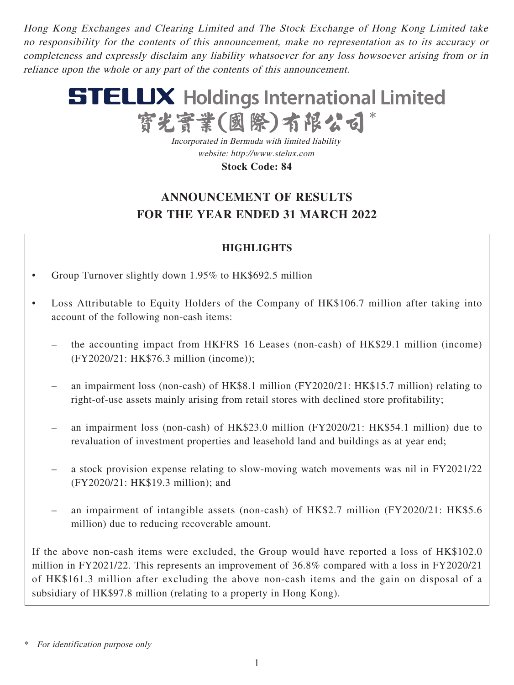Hong Kong Exchanges and Clearing Limited and The Stock Exchange of Hong Kong Limited take no responsibility for the contents of this announcement, make no representation as to its accuracy or completeness and expressly disclaim any liability whatsoever for any loss howsoever arising from or in reliance upon the whole or any part of the contents of this announcement.



Incorporated in Bermuda with limited liability website: http://www.stelux.com **Stock Code: 84**

# **ANNOUNCEMENT OF RESULTS FOR THE YEAR ENDED 31 MARCH 2022**

# **HIGHLIGHTS**

- Group Turnover slightly down 1.95% to HK\$692.5 million
- Loss Attributable to Equity Holders of the Company of HK\$106.7 million after taking into account of the following non-cash items:
	- the accounting impact from HKFRS 16 Leases (non-cash) of HK\$29.1 million (income) (FY2020/21: HK\$76.3 million (income));
	- an impairment loss (non-cash) of HK\$8.1 million (FY2020/21: HK\$15.7 million) relating to right-of-use assets mainly arising from retail stores with declined store profitability;
	- an impairment loss (non-cash) of HK\$23.0 million (FY2020/21: HK\$54.1 million) due to revaluation of investment properties and leasehold land and buildings as at year end;
	- a stock provision expense relating to slow-moving watch movements was nil in FY2021/22 (FY2020/21: HK\$19.3 million); and
	- an impairment of intangible assets (non-cash) of HK\$2.7 million (FY2020/21: HK\$5.6 million) due to reducing recoverable amount.

If the above non-cash items were excluded, the Group would have reported a loss of HK\$102.0 million in FY2021/22. This represents an improvement of 36.8% compared with a loss in FY2020/21 of HK\$161.3 million after excluding the above non-cash items and the gain on disposal of a subsidiary of HK\$97.8 million (relating to a property in Hong Kong).

For identification purpose only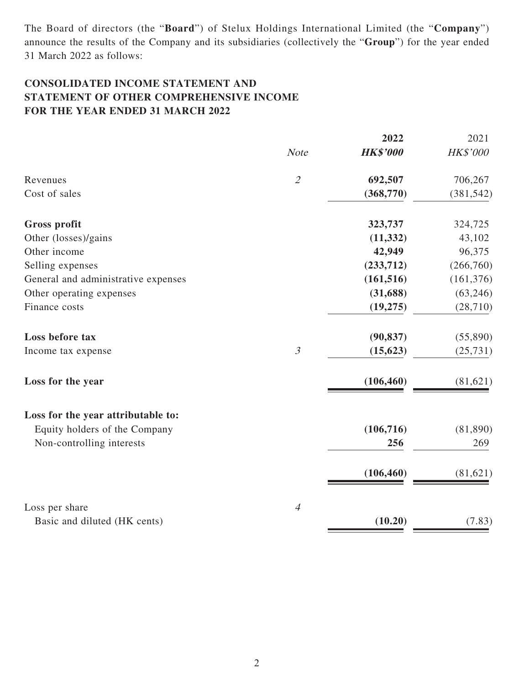The Board of directors (the "**Board**") of Stelux Holdings International Limited (the "**Company**") announce the results of the Company and its subsidiaries (collectively the "**Group**") for the year ended 31 March 2022 as follows:

# **CONSOLIDATED INCOME STATEMENT AND STATEMENT OF OTHER COMPREHENSIVE INCOME FOR THE YEAR ENDED 31 MARCH 2022**

|                                     |                | 2022            | 2021            |
|-------------------------------------|----------------|-----------------|-----------------|
|                                     | <b>Note</b>    | <b>HK\$'000</b> | <b>HK\$'000</b> |
| Revenues                            | $\mathcal{Z}$  | 692,507         | 706,267         |
| Cost of sales                       |                | (368, 770)      | (381, 542)      |
| <b>Gross profit</b>                 |                | 323,737         | 324,725         |
| Other (losses)/gains                |                | (11, 332)       | 43,102          |
| Other income                        |                | 42,949          | 96,375          |
| Selling expenses                    |                | (233,712)       | (266,760)       |
| General and administrative expenses |                | (161, 516)      | (161, 376)      |
| Other operating expenses            |                | (31, 688)       | (63, 246)       |
| Finance costs                       |                | (19, 275)       | (28, 710)       |
| Loss before tax                     |                | (90, 837)       | (55,890)        |
| Income tax expense                  | $\mathfrak{Z}$ | (15, 623)       | (25, 731)       |
| Loss for the year                   |                | (106, 460)      | (81,621)        |
| Loss for the year attributable to:  |                |                 |                 |
| Equity holders of the Company       |                | (106, 716)      | (81,890)        |
| Non-controlling interests           |                | 256             | 269             |
|                                     |                | (106, 460)      | (81, 621)       |
| Loss per share                      | $\overline{4}$ |                 |                 |
| Basic and diluted (HK cents)        |                | (10.20)         | (7.83)          |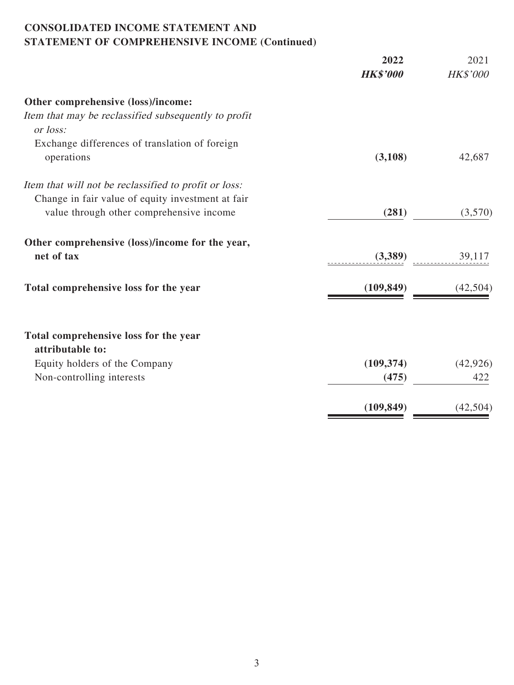## **CONSOLIDATED INCOME STATEMENT AND STATEMENT OF COMPREHENSIVE INCOME (Continued)**

|                                                                  | 2022            | 2021            |
|------------------------------------------------------------------|-----------------|-----------------|
|                                                                  | <b>HK\$'000</b> | <b>HK\$'000</b> |
| Other comprehensive (loss)/income:                               |                 |                 |
| Item that may be reclassified subsequently to profit<br>or loss: |                 |                 |
| Exchange differences of translation of foreign                   |                 |                 |
| operations                                                       | (3,108)         | 42,687          |
| Item that will not be reclassified to profit or loss:            |                 |                 |
| Change in fair value of equity investment at fair                |                 |                 |
| value through other comprehensive income                         | (281)           | (3,570)         |
| Other comprehensive (loss)/income for the year,                  |                 |                 |
| net of tax                                                       | (3,389)         | 39,117          |
| Total comprehensive loss for the year                            | (109, 849)      | (42,504)        |
| Total comprehensive loss for the year<br>attributable to:        |                 |                 |
| Equity holders of the Company                                    | (109, 374)      | (42, 926)       |
| Non-controlling interests                                        | (475)           | 422             |
|                                                                  |                 |                 |
|                                                                  | (109, 849)      | (42, 504)       |
|                                                                  |                 |                 |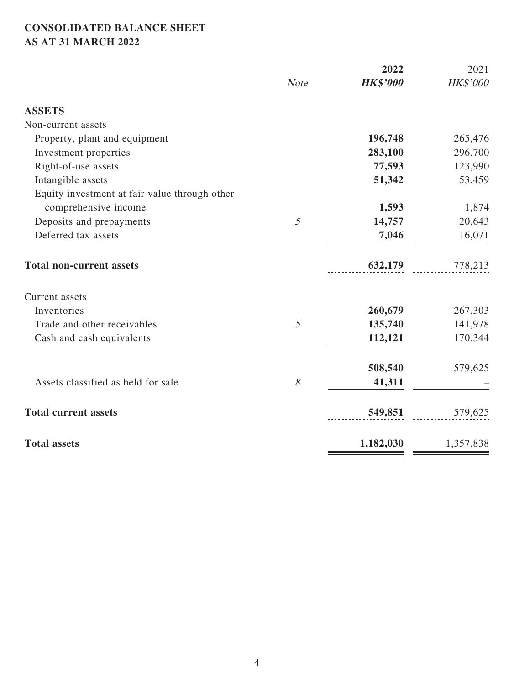# **CONSOLIDATED BALANCE SHEET AS AT 31 MARCH 2022**

|                                               |                | 2022            | 2021            |
|-----------------------------------------------|----------------|-----------------|-----------------|
|                                               | <b>Note</b>    | <b>HK\$'000</b> | <b>HK\$'000</b> |
| <b>ASSETS</b>                                 |                |                 |                 |
| Non-current assets                            |                |                 |                 |
| Property, plant and equipment                 |                | 196,748         | 265,476         |
| Investment properties                         |                | 283,100         | 296,700         |
| Right-of-use assets                           |                | 77,593          | 123,990         |
| Intangible assets                             |                | 51,342          | 53,459          |
| Equity investment at fair value through other |                |                 |                 |
| comprehensive income                          |                | 1,593           | 1,874           |
| Deposits and prepayments                      | $\mathfrak{I}$ | 14,757          | 20,643          |
| Deferred tax assets                           |                | 7,046           | 16,071          |
| <b>Total non-current assets</b>               |                | 632,179         | 778,213         |
| Current assets                                |                |                 |                 |
| Inventories                                   |                | 260,679         | 267,303         |
| Trade and other receivables                   | $\mathfrak{H}$ | 135,740         | 141,978         |
| Cash and cash equivalents                     |                | 112,121         | 170,344         |
|                                               |                | 508,540         | 579,625         |
| Assets classified as held for sale            | $\mathcal S$   | 41,311          |                 |
| <b>Total current assets</b>                   |                | 549,851         | 579,625         |
| <b>Total assets</b>                           |                | 1,182,030       | 1,357,838       |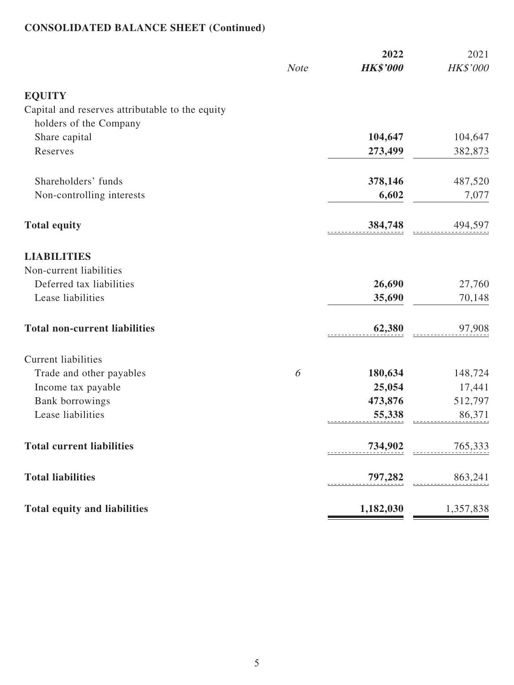# **CONSOLIDATED BALANCE SHEET (Continued)**

|                                                 | <b>Note</b> | 2022<br><b>HK\$'000</b> | 2021<br>HK\$'000 |
|-------------------------------------------------|-------------|-------------------------|------------------|
|                                                 |             |                         |                  |
| <b>EQUITY</b>                                   |             |                         |                  |
| Capital and reserves attributable to the equity |             |                         |                  |
| holders of the Company                          |             |                         |                  |
| Share capital                                   |             | 104,647                 | 104,647          |
| Reserves                                        |             | 273,499                 | 382,873          |
| Shareholders' funds                             |             | 378,146                 | 487,520          |
| Non-controlling interests                       |             | 6,602                   | 7,077            |
| <b>Total equity</b>                             |             | 384,748                 | 494,597          |
| <b>LIABILITIES</b>                              |             |                         |                  |
| Non-current liabilities                         |             |                         |                  |
| Deferred tax liabilities                        |             | 26,690                  | 27,760           |
| Lease liabilities                               |             | 35,690                  | 70,148           |
| <b>Total non-current liabilities</b>            |             | 62,380                  | 97,908           |
| <b>Current liabilities</b>                      |             |                         |                  |
| Trade and other payables                        | 6           | 180,634                 | 148,724          |
| Income tax payable                              |             | 25,054                  | 17,441           |
| <b>Bank borrowings</b>                          |             | 473,876                 | 512,797          |
| Lease liabilities                               |             | 55,338                  | 86,371           |
| <b>Total current liabilities</b>                |             | $734,902$ $765,333$     |                  |
| <b>Total liabilities</b>                        |             | $797,282$ $863,241$     |                  |
| <b>Total equity and liabilities</b>             |             | 1,182,030               | 1,357,838        |

Е

<u> 1989 - Johann Barnett, mars et al. 1989 - Anna ann an t-Anna ann an t-Anna ann an t-Anna ann an t-Anna ann an</u>

<u> Tanzania (h. 1888).</u>

۰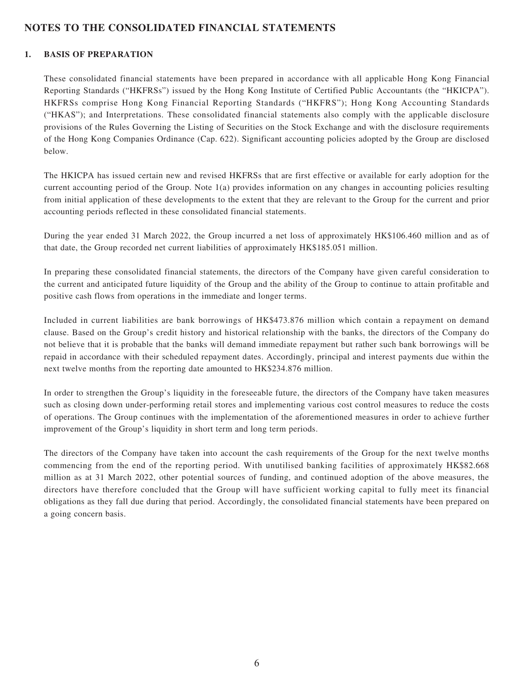## **NOTES TO THE CONSOLIDATED FINANCIAL STATEMENTS**

### **1. BASIS OF PREPARATION**

These consolidated financial statements have been prepared in accordance with all applicable Hong Kong Financial Reporting Standards ("HKFRSs") issued by the Hong Kong Institute of Certified Public Accountants (the "HKICPA"). HKFRSs comprise Hong Kong Financial Reporting Standards ("HKFRS"); Hong Kong Accounting Standards ("HKAS"); and Interpretations. These consolidated financial statements also comply with the applicable disclosure provisions of the Rules Governing the Listing of Securities on the Stock Exchange and with the disclosure requirements of the Hong Kong Companies Ordinance (Cap. 622). Significant accounting policies adopted by the Group are disclosed below.

The HKICPA has issued certain new and revised HKFRSs that are first effective or available for early adoption for the current accounting period of the Group. Note 1(a) provides information on any changes in accounting policies resulting from initial application of these developments to the extent that they are relevant to the Group for the current and prior accounting periods reflected in these consolidated financial statements.

During the year ended 31 March 2022, the Group incurred a net loss of approximately HK\$106.460 million and as of that date, the Group recorded net current liabilities of approximately HK\$185.051 million.

In preparing these consolidated financial statements, the directors of the Company have given careful consideration to the current and anticipated future liquidity of the Group and the ability of the Group to continue to attain profitable and positive cash flows from operations in the immediate and longer terms.

Included in current liabilities are bank borrowings of HK\$473.876 million which contain a repayment on demand clause. Based on the Group's credit history and historical relationship with the banks, the directors of the Company do not believe that it is probable that the banks will demand immediate repayment but rather such bank borrowings will be repaid in accordance with their scheduled repayment dates. Accordingly, principal and interest payments due within the next twelve months from the reporting date amounted to HK\$234.876 million.

In order to strengthen the Group's liquidity in the foreseeable future, the directors of the Company have taken measures such as closing down under-performing retail stores and implementing various cost control measures to reduce the costs of operations. The Group continues with the implementation of the aforementioned measures in order to achieve further improvement of the Group's liquidity in short term and long term periods.

The directors of the Company have taken into account the cash requirements of the Group for the next twelve months commencing from the end of the reporting period. With unutilised banking facilities of approximately HK\$82.668 million as at 31 March 2022, other potential sources of funding, and continued adoption of the above measures, the directors have therefore concluded that the Group will have sufficient working capital to fully meet its financial obligations as they fall due during that period. Accordingly, the consolidated financial statements have been prepared on a going concern basis.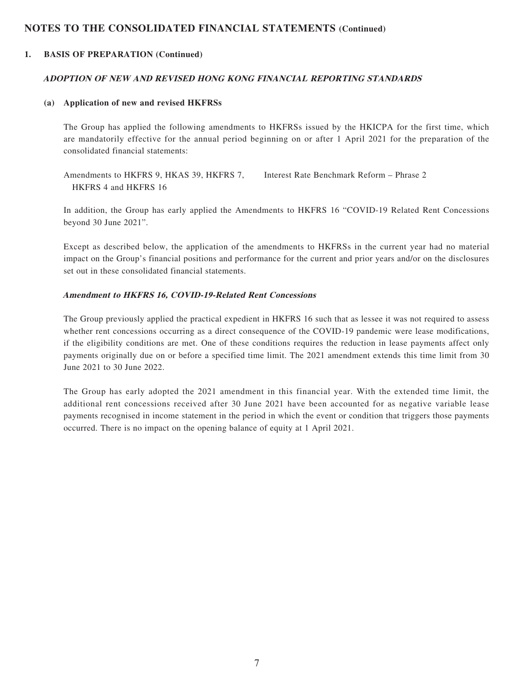#### **1. BASIS OF PREPARATION (Continued)**

#### **ADOPTION OF NEW AND REVISED HONG KONG FINANCIAL REPORTING STANDARDS**

#### **(a) Application of new and revised HKFRSs**

The Group has applied the following amendments to HKFRSs issued by the HKICPA for the first time, which are mandatorily effective for the annual period beginning on or after 1 April 2021 for the preparation of the consolidated financial statements:

Amendments to HKFRS 9, HKAS 39, HKFRS 7, HKFRS 4 and HKFRS 16 Interest Rate Benchmark Reform – Phrase 2

In addition, the Group has early applied the Amendments to HKFRS 16 "COVID-19 Related Rent Concessions beyond 30 June 2021".

Except as described below, the application of the amendments to HKFRSs in the current year had no material impact on the Group's financial positions and performance for the current and prior years and/or on the disclosures set out in these consolidated financial statements.

#### **Amendment to HKFRS 16, COVID-19-Related Rent Concessions**

The Group previously applied the practical expedient in HKFRS 16 such that as lessee it was not required to assess whether rent concessions occurring as a direct consequence of the COVID-19 pandemic were lease modifications, if the eligibility conditions are met. One of these conditions requires the reduction in lease payments affect only payments originally due on or before a specified time limit. The 2021 amendment extends this time limit from 30 June 2021 to 30 June 2022.

The Group has early adopted the 2021 amendment in this financial year. With the extended time limit, the additional rent concessions received after 30 June 2021 have been accounted for as negative variable lease payments recognised in income statement in the period in which the event or condition that triggers those payments occurred. There is no impact on the opening balance of equity at 1 April 2021.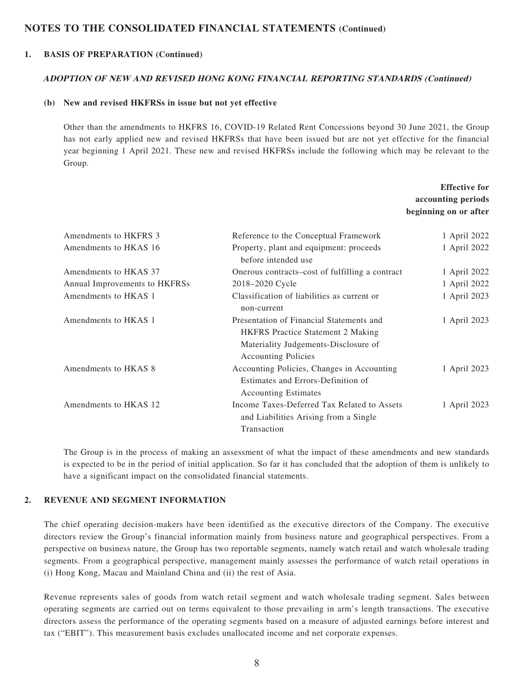#### **1. BASIS OF PREPARATION (Continued)**

#### **ADOPTION OF NEW AND REVISED HONG KONG FINANCIAL REPORTING STANDARDS (Continued)**

#### **(b) New and revised HKFRSs in issue but not yet effective**

Other than the amendments to HKFRS 16, COVID-19 Related Rent Concessions beyond 30 June 2021, the Group has not early applied new and revised HKFRSs that have been issued but are not yet effective for the financial year beginning 1 April 2021. These new and revised HKFRSs include the following which may be relevant to the Group.

|                               |                                                                                                                                                            | <b>Effective for</b><br>accounting periods<br>beginning on or after |
|-------------------------------|------------------------------------------------------------------------------------------------------------------------------------------------------------|---------------------------------------------------------------------|
| Amendments to HKFRS 3         | Reference to the Conceptual Framework                                                                                                                      | 1 April 2022                                                        |
| Amendments to HKAS 16         | Property, plant and equipment: proceeds<br>before intended use                                                                                             | 1 April 2022                                                        |
| Amendments to HKAS 37         | Onerous contracts–cost of fulfilling a contract                                                                                                            | 1 April 2022                                                        |
| Annual Improvements to HKFRSs | 2018-2020 Cycle                                                                                                                                            | 1 April 2022                                                        |
| Amendments to HKAS 1          | Classification of liabilities as current or<br>non-current                                                                                                 | 1 April 2023                                                        |
| Amendments to HKAS 1          | Presentation of Financial Statements and<br><b>HKFRS</b> Practice Statement 2 Making<br>Materiality Judgements-Disclosure of<br><b>Accounting Policies</b> | 1 April 2023                                                        |
| Amendments to HKAS 8          | Accounting Policies, Changes in Accounting<br>Estimates and Errors-Definition of<br><b>Accounting Estimates</b>                                            | 1 April 2023                                                        |
| Amendments to HKAS 12         | Income Taxes-Deferred Tax Related to Assets<br>and Liabilities Arising from a Single<br>Transaction                                                        | 1 April 2023                                                        |

The Group is in the process of making an assessment of what the impact of these amendments and new standards is expected to be in the period of initial application. So far it has concluded that the adoption of them is unlikely to have a significant impact on the consolidated financial statements.

#### **2. REVENUE AND SEGMENT INFORMATION**

The chief operating decision-makers have been identified as the executive directors of the Company. The executive directors review the Group's financial information mainly from business nature and geographical perspectives. From a perspective on business nature, the Group has two reportable segments, namely watch retail and watch wholesale trading segments. From a geographical perspective, management mainly assesses the performance of watch retail operations in (i) Hong Kong, Macau and Mainland China and (ii) the rest of Asia.

Revenue represents sales of goods from watch retail segment and watch wholesale trading segment. Sales between operating segments are carried out on terms equivalent to those prevailing in arm's length transactions. The executive directors assess the performance of the operating segments based on a measure of adjusted earnings before interest and tax ("EBIT"). This measurement basis excludes unallocated income and net corporate expenses.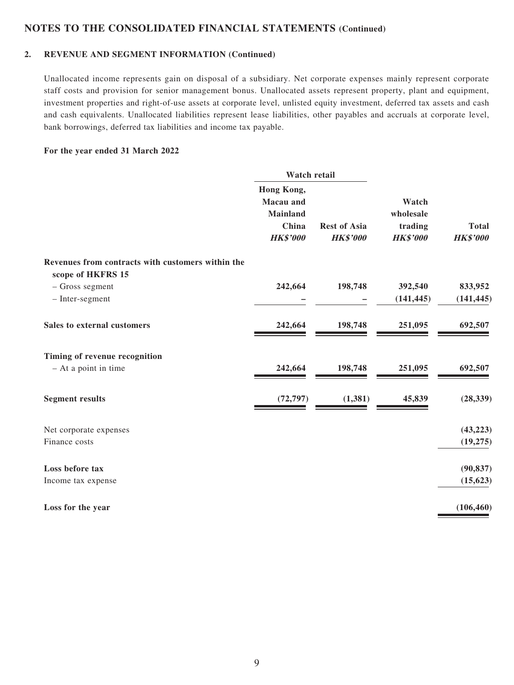#### **2. REVENUE AND SEGMENT INFORMATION (Continued)**

Unallocated income represents gain on disposal of a subsidiary. Net corporate expenses mainly represent corporate staff costs and provision for senior management bonus. Unallocated assets represent property, plant and equipment, investment properties and right-of-use assets at corporate level, unlisted equity investment, deferred tax assets and cash and cash equivalents. Unallocated liabilities represent lease liabilities, other payables and accruals at corporate level, bank borrowings, deferred tax liabilities and income tax payable.

#### **For the year ended 31 March 2022**

|                                                                        | Watch retail                                                           |                                        |                                                  |                                 |
|------------------------------------------------------------------------|------------------------------------------------------------------------|----------------------------------------|--------------------------------------------------|---------------------------------|
|                                                                        | Hong Kong,<br>Macau and<br><b>Mainland</b><br>China<br><b>HK\$'000</b> | <b>Rest of Asia</b><br><b>HK\$'000</b> | Watch<br>wholesale<br>trading<br><b>HK\$'000</b> | <b>Total</b><br><b>HK\$'000</b> |
| Revenues from contracts with customers within the<br>scope of HKFRS 15 |                                                                        |                                        |                                                  |                                 |
| - Gross segment                                                        | 242,664                                                                | 198,748                                | 392,540                                          | 833,952                         |
| - Inter-segment                                                        |                                                                        |                                        | (141, 445)                                       | (141, 445)                      |
| Sales to external customers                                            | 242,664                                                                | 198,748                                | 251,095                                          | 692,507                         |
| Timing of revenue recognition                                          |                                                                        |                                        |                                                  |                                 |
| - At a point in time                                                   | 242,664                                                                | 198,748                                | 251,095                                          | 692,507                         |
| <b>Segment results</b>                                                 | (72, 797)                                                              | (1, 381)                               | 45,839                                           | (28, 339)                       |
| Net corporate expenses                                                 |                                                                        |                                        |                                                  | (43, 223)                       |
| Finance costs                                                          |                                                                        |                                        |                                                  | (19, 275)                       |
| Loss before tax                                                        |                                                                        |                                        |                                                  | (90, 837)                       |
| Income tax expense                                                     |                                                                        |                                        |                                                  | (15, 623)                       |
| Loss for the year                                                      |                                                                        |                                        |                                                  | (106, 460)                      |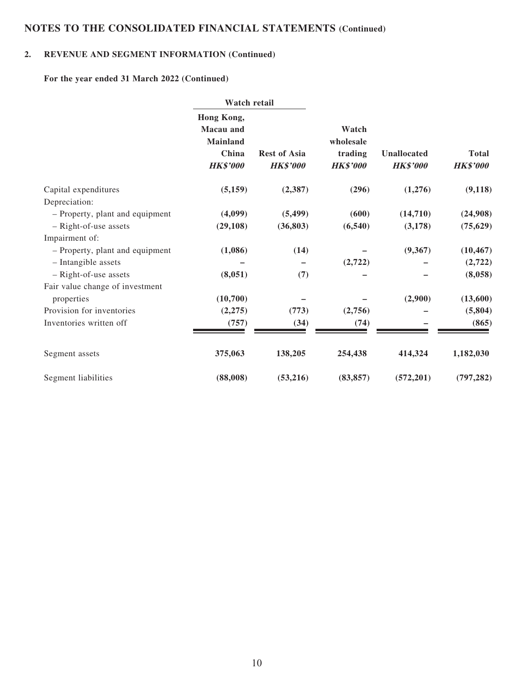## **2. REVENUE AND SEGMENT INFORMATION (Continued)**

**For the year ended 31 March 2022 (Continued)**

|                                 |                                                                               | Watch retail                           |                                                  |                                |                                 |
|---------------------------------|-------------------------------------------------------------------------------|----------------------------------------|--------------------------------------------------|--------------------------------|---------------------------------|
|                                 | Hong Kong,<br><b>Macau</b> and<br><b>Mainland</b><br>China<br><b>HK\$'000</b> | <b>Rest of Asia</b><br><b>HK\$'000</b> | Watch<br>wholesale<br>trading<br><b>HK\$'000</b> | Unallocated<br><b>HK\$'000</b> | <b>Total</b><br><b>HK\$'000</b> |
| Capital expenditures            | (5,159)                                                                       | (2,387)                                | (296)                                            | (1,276)                        | (9, 118)                        |
| Depreciation:                   |                                                                               |                                        |                                                  |                                |                                 |
| - Property, plant and equipment | (4,099)                                                                       | (5, 499)                               | (600)                                            | (14,710)                       | (24,908)                        |
| - Right-of-use assets           | (29, 108)                                                                     | (36, 803)                              | (6, 540)                                         | (3,178)                        | (75, 629)                       |
| Impairment of:                  |                                                                               |                                        |                                                  |                                |                                 |
| - Property, plant and equipment | (1,086)                                                                       | (14)                                   |                                                  | (9,367)                        | (10, 467)                       |
| - Intangible assets             |                                                                               |                                        | (2,722)                                          |                                | (2,722)                         |
| - Right-of-use assets           | (8,051)                                                                       | (7)                                    |                                                  |                                | (8,058)                         |
| Fair value change of investment |                                                                               |                                        |                                                  |                                |                                 |
| properties                      | (10,700)                                                                      |                                        |                                                  | (2,900)                        | (13,600)                        |
| Provision for inventories       | (2,275)                                                                       | (773)                                  | (2,756)                                          |                                | (5,804)                         |
| Inventories written off         | (757)                                                                         | (34)                                   | (74)                                             |                                | (865)                           |
| Segment assets                  | 375,063                                                                       | 138,205                                | 254,438                                          | 414,324                        | 1,182,030                       |
| Segment liabilities             | (88,008)                                                                      | (53,216)                               | (83, 857)                                        | (572, 201)                     | (797, 282)                      |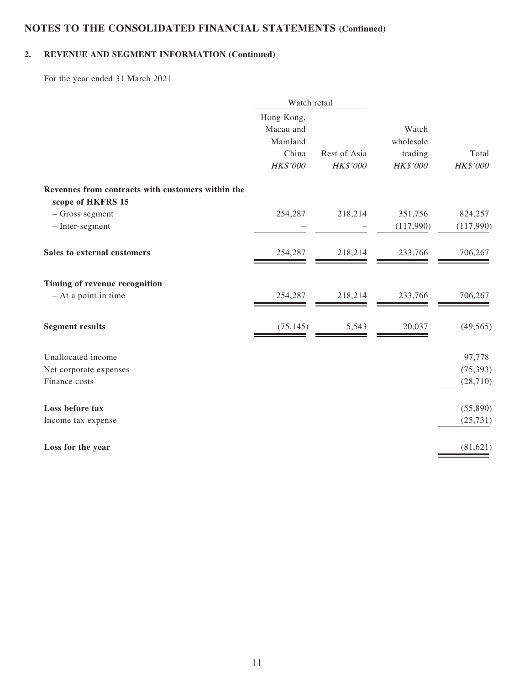## **2. REVENUE AND SEGMENT INFORMATION (Continued)**

For the year ended 31 March 2021

|                                                   | Watch retail |              |           |           |
|---------------------------------------------------|--------------|--------------|-----------|-----------|
|                                                   | Hong Kong,   |              |           |           |
|                                                   | Macau and    |              | Watch     |           |
|                                                   | Mainland     |              | wholesale |           |
|                                                   | China        | Rest of Asia | trading   | Total     |
|                                                   | HK\$'000     | HK\$'000     | HK\$'000  | HK\$'000  |
| Revenues from contracts with customers within the |              |              |           |           |
| scope of HKFRS 15                                 |              |              |           |           |
| - Gross segment                                   | 254,287      | 218,214      | 351,756   | 824,257   |
| - Inter-segment                                   |              |              | (117,990) | (117,990) |
| Sales to external customers                       | 254,287      | 218,214      | 233,766   | 706,267   |
| Timing of revenue recognition                     |              |              |           |           |
| - At a point in time                              | 254,287      | 218,214      | 233,766   | 706,267   |
| <b>Segment results</b>                            | (75, 145)    | 5,543        | 20,037    | (49, 565) |
| Unallocated income                                |              |              |           | 97,778    |
| Net corporate expenses                            |              |              |           | (75, 393) |
| Finance costs                                     |              |              |           | (28, 710) |
| Loss before tax                                   |              |              |           | (55,890)  |
| Income tax expense                                |              |              |           | (25, 731) |
| Loss for the year                                 |              |              |           | (81, 621) |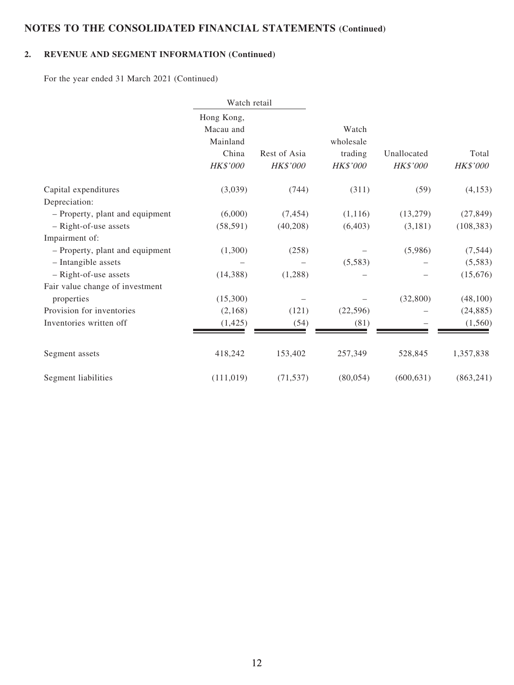## **2. REVENUE AND SEGMENT INFORMATION (Continued)**

For the year ended 31 March 2021 (Continued)

|                                 | Watch retail                                             |                          |                                           |                         |                   |
|---------------------------------|----------------------------------------------------------|--------------------------|-------------------------------------------|-------------------------|-------------------|
|                                 | Hong Kong,<br>Macau and<br>Mainland<br>China<br>HK\$'000 | Rest of Asia<br>HK\$'000 | Watch<br>wholesale<br>trading<br>HK\$'000 | Unallocated<br>HK\$'000 | Total<br>HK\$'000 |
| Capital expenditures            | (3,039)                                                  | (744)                    | (311)                                     | (59)                    | (4, 153)          |
| Depreciation:                   |                                                          |                          |                                           |                         |                   |
| - Property, plant and equipment | (6,000)                                                  | (7, 454)                 | (1,116)                                   | (13,279)                | (27, 849)         |
| - Right-of-use assets           | (58, 591)                                                | (40,208)                 | (6, 403)                                  | (3,181)                 | (108, 383)        |
| Impairment of:                  |                                                          |                          |                                           |                         |                   |
| - Property, plant and equipment | (1,300)                                                  | (258)                    |                                           | (5,986)                 | (7, 544)          |
| - Intangible assets             |                                                          |                          | (5,583)                                   |                         | (5,583)           |
| - Right-of-use assets           | (14,388)                                                 | (1,288)                  |                                           |                         | (15,676)          |
| Fair value change of investment |                                                          |                          |                                           |                         |                   |
| properties                      | (15,300)                                                 |                          |                                           | (32,800)                | (48,100)          |
| Provision for inventories       | (2,168)                                                  | (121)                    | (22, 596)                                 |                         | (24, 885)         |
| Inventories written off         | (1, 425)                                                 | (54)                     | (81)                                      |                         | (1, 560)          |
| Segment assets                  | 418,242                                                  | 153,402                  | 257,349                                   | 528,845                 | 1,357,838         |
| Segment liabilities             | (111, 019)                                               | (71, 537)                | (80,054)                                  | (600, 631)              | (863, 241)        |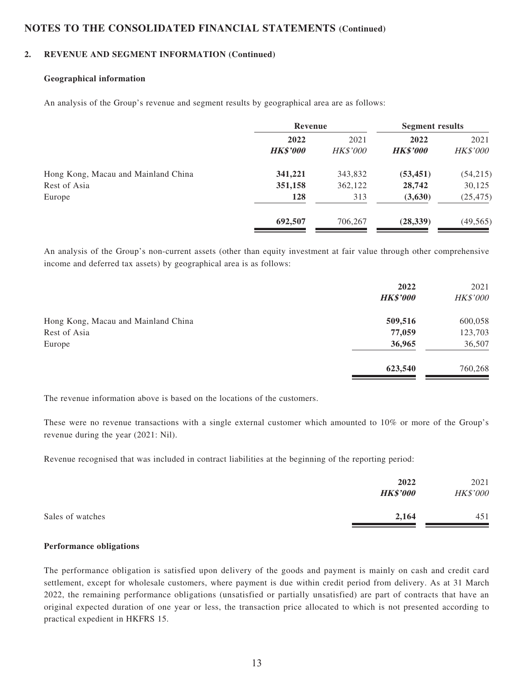#### **2. REVENUE AND SEGMENT INFORMATION (Continued)**

#### **Geographical information**

An analysis of the Group's revenue and segment results by geographical area are as follows:

|                                     | Revenue                 |                         | <b>Segment results</b>  |                         |
|-------------------------------------|-------------------------|-------------------------|-------------------------|-------------------------|
|                                     | 2022<br><b>HK\$'000</b> | 2021<br><b>HK\$'000</b> | 2022<br><b>HK\$'000</b> | 2021<br><b>HK\$'000</b> |
| Hong Kong, Macau and Mainland China | 341,221                 | 343,832                 | (53, 451)               | (54,215)                |
| Rest of Asia                        | 351,158                 | 362,122                 | 28,742                  | 30,125                  |
| Europe                              | 128                     | 313                     | (3,630)                 | (25, 475)               |
|                                     | 692,507                 | 706,267                 | (28, 339)               | (49, 565)               |

An analysis of the Group's non-current assets (other than equity investment at fair value through other comprehensive income and deferred tax assets) by geographical area is as follows:

|                                     | 2022            | 2021            |
|-------------------------------------|-----------------|-----------------|
|                                     | <b>HK\$'000</b> | <b>HK\$'000</b> |
| Hong Kong, Macau and Mainland China | 509,516         | 600,058         |
| Rest of Asia                        | 77,059          | 123,703         |
| Europe                              | 36,965          | 36,507          |
|                                     | 623,540         | 760,268         |

The revenue information above is based on the locations of the customers.

These were no revenue transactions with a single external customer which amounted to 10% or more of the Group's revenue during the year (2021: Nil).

Revenue recognised that was included in contract liabilities at the beginning of the reporting period:

|                  | 2022<br><b>HK\$'000</b> | 2021<br>HK\$'000 |
|------------------|-------------------------|------------------|
| Sales of watches | 2,164                   | 451              |

#### **Performance obligations**

The performance obligation is satisfied upon delivery of the goods and payment is mainly on cash and credit card settlement, except for wholesale customers, where payment is due within credit period from delivery. As at 31 March 2022, the remaining performance obligations (unsatisfied or partially unsatisfied) are part of contracts that have an original expected duration of one year or less, the transaction price allocated to which is not presented according to practical expedient in HKFRS 15.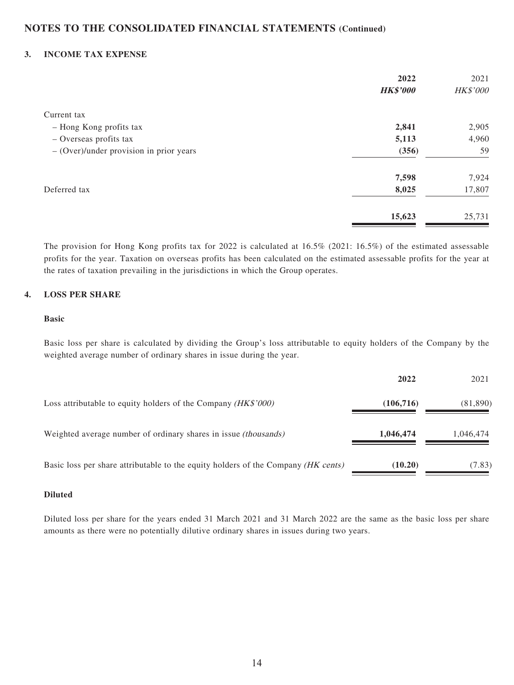#### **3. INCOME TAX EXPENSE**

|                                           | 2022            | 2021     |
|-------------------------------------------|-----------------|----------|
|                                           | <b>HK\$'000</b> | HK\$'000 |
| Current tax                               |                 |          |
| - Hong Kong profits tax                   | 2,841           | 2,905    |
| - Overseas profits tax                    | 5,113           | 4,960    |
| $-$ (Over)/under provision in prior years | (356)           | 59       |
|                                           | 7,598           | 7,924    |
| Deferred tax                              | 8,025           | 17,807   |
|                                           | 15,623          | 25,731   |
|                                           |                 |          |

The provision for Hong Kong profits tax for 2022 is calculated at 16.5% (2021: 16.5%) of the estimated assessable profits for the year. Taxation on overseas profits has been calculated on the estimated assessable profits for the year at the rates of taxation prevailing in the jurisdictions in which the Group operates.

#### **4. LOSS PER SHARE**

#### **Basic**

Basic loss per share is calculated by dividing the Group's loss attributable to equity holders of the Company by the weighted average number of ordinary shares in issue during the year.

|                                                                                   | 2022       | 2021      |
|-----------------------------------------------------------------------------------|------------|-----------|
| Loss attributable to equity holders of the Company (HK\$'000)                     | (106, 716) | (81, 890) |
| Weighted average number of ordinary shares in issue <i>(thousands)</i>            | 1,046,474  | 1,046,474 |
| Basic loss per share attributable to the equity holders of the Company (HK cents) | (10.20)    | (7.83)    |

#### **Diluted**

Diluted loss per share for the years ended 31 March 2021 and 31 March 2022 are the same as the basic loss per share amounts as there were no potentially dilutive ordinary shares in issues during two years.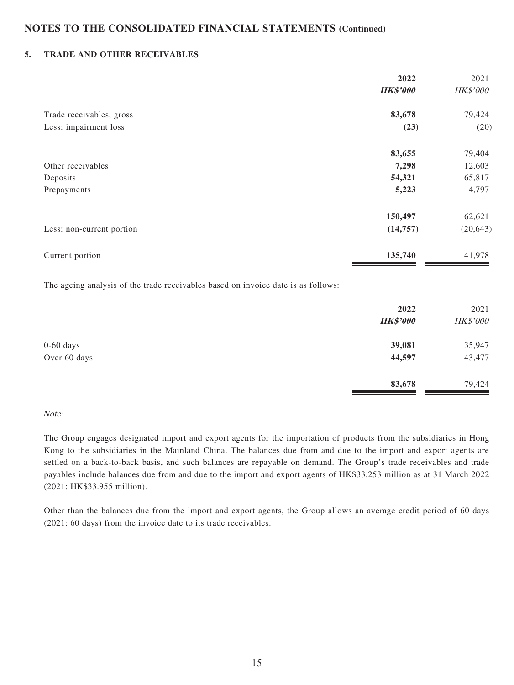#### **5. TRADE AND OTHER RECEIVABLES**

| 2022            | 2021      |
|-----------------|-----------|
| <b>HK\$'000</b> | HK\$'000  |
| 83,678          | 79,424    |
| (23)            | (20)      |
| 83,655          | 79,404    |
| 7,298           | 12,603    |
| 54,321          | 65,817    |
| 5,223           | 4,797     |
| 150,497         | 162,621   |
| (14, 757)       | (20, 643) |
| 135,740         | 141,978   |
|                 |           |

The ageing analysis of the trade receivables based on invoice date is as follows:

|              | 2022<br><b>HK\$'000</b> | 2021<br>HK\$'000 |
|--------------|-------------------------|------------------|
| $0-60$ days  | 39,081                  | 35,947           |
| Over 60 days | 44,597                  | 43,477           |
|              | 83,678                  | 79,424           |

#### Note:

The Group engages designated import and export agents for the importation of products from the subsidiaries in Hong Kong to the subsidiaries in the Mainland China. The balances due from and due to the import and export agents are settled on a back-to-back basis, and such balances are repayable on demand. The Group's trade receivables and trade payables include balances due from and due to the import and export agents of HK\$33.253 million as at 31 March 2022 (2021: HK\$33.955 million).

Other than the balances due from the import and export agents, the Group allows an average credit period of 60 days (2021: 60 days) from the invoice date to its trade receivables.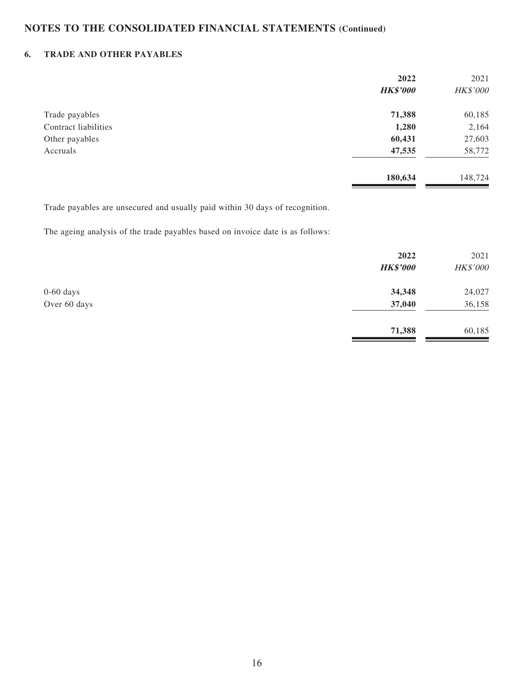### **6. TRADE AND OTHER PAYABLES**

|                      | 2022            | 2021     |
|----------------------|-----------------|----------|
|                      | <b>HK\$'000</b> | HK\$'000 |
| Trade payables       | 71,388          | 60,185   |
| Contract liabilities | 1,280           | 2,164    |
| Other payables       | 60,431          | 27,603   |
| Accruals             | 47,535          | 58,772   |
|                      | 180,634         | 148,724  |
|                      |                 |          |

Trade payables are unsecured and usually paid within 30 days of recognition.

The ageing analysis of the trade payables based on invoice date is as follows:

|              | 2022<br><b>HK\$'000</b> | 2021<br>HK\$'000 |
|--------------|-------------------------|------------------|
| $0-60$ days  | 34,348                  | 24,027           |
| Over 60 days | 37,040                  | 36,158           |
|              | 71,388                  | 60,185           |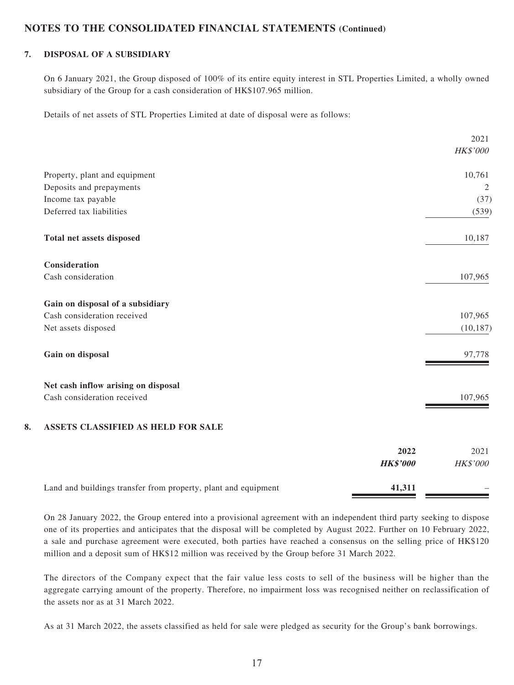### **7. DISPOSAL OF A SUBSIDIARY**

On 6 January 2021, the Group disposed of 100% of its entire equity interest in STL Properties Limited, a wholly owned subsidiary of the Group for a cash consideration of HK\$107.965 million.

Details of net assets of STL Properties Limited at date of disposal were as follows:

|    |                                     |      | 2021           |
|----|-------------------------------------|------|----------------|
|    |                                     |      | HK\$'000       |
|    | Property, plant and equipment       |      | 10,761         |
|    | Deposits and prepayments            |      | $\overline{2}$ |
|    | Income tax payable                  |      | (37)           |
|    | Deferred tax liabilities            |      | (539)          |
|    | Total net assets disposed           |      | 10,187         |
|    | Consideration                       |      |                |
|    | Cash consideration                  |      | 107,965        |
|    | Gain on disposal of a subsidiary    |      |                |
|    | Cash consideration received         |      | 107,965        |
|    | Net assets disposed                 |      | (10, 187)      |
|    | Gain on disposal                    |      | 97,778         |
|    | Net cash inflow arising on disposal |      |                |
|    | Cash consideration received         |      | 107,965        |
| 8. | ASSETS CLASSIFIED AS HELD FOR SALE  |      |                |
|    |                                     | 2022 | 2021           |

|                                                                | -----           | 2021            |
|----------------------------------------------------------------|-----------------|-----------------|
|                                                                | <b>HK\$'000</b> | <i>HK\$'000</i> |
| Land and buildings transfer from property, plant and equipment | 41,311          |                 |

On 28 January 2022, the Group entered into a provisional agreement with an independent third party seeking to dispose one of its properties and anticipates that the disposal will be completed by August 2022. Further on 10 February 2022, a sale and purchase agreement were executed, both parties have reached a consensus on the selling price of HK\$120 million and a deposit sum of HK\$12 million was received by the Group before 31 March 2022.

The directors of the Company expect that the fair value less costs to sell of the business will be higher than the aggregate carrying amount of the property. Therefore, no impairment loss was recognised neither on reclassification of the assets nor as at 31 March 2022.

As at 31 March 2022, the assets classified as held for sale were pledged as security for the Group's bank borrowings.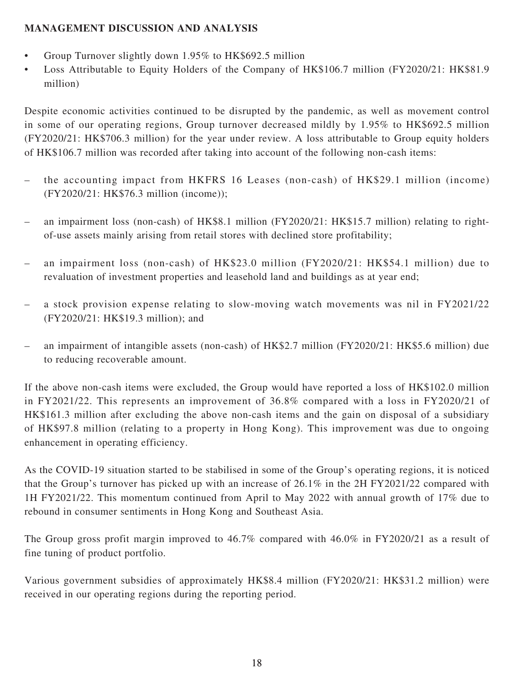## **MANAGEMENT DISCUSSION AND ANALYSIS**

- Group Turnover slightly down 1.95% to HK\$692.5 million
- Loss Attributable to Equity Holders of the Company of HK\$106.7 million (FY2020/21: HK\$81.9 million)

Despite economic activities continued to be disrupted by the pandemic, as well as movement control in some of our operating regions, Group turnover decreased mildly by 1.95% to HK\$692.5 million (FY2020/21: HK\$706.3 million) for the year under review. A loss attributable to Group equity holders of HK\$106.7 million was recorded after taking into account of the following non-cash items:

- the accounting impact from HKFRS 16 Leases (non-cash) of HK\$29.1 million (income) (FY2020/21: HK\$76.3 million (income));
- an impairment loss (non-cash) of HK\$8.1 million (FY2020/21: HK\$15.7 million) relating to rightof-use assets mainly arising from retail stores with declined store profitability;
- an impairment loss (non-cash) of HK\$23.0 million (FY2020/21: HK\$54.1 million) due to revaluation of investment properties and leasehold land and buildings as at year end;
- a stock provision expense relating to slow-moving watch movements was nil in FY2021/22 (FY2020/21: HK\$19.3 million); and
- an impairment of intangible assets (non-cash) of HK\$2.7 million (FY2020/21: HK\$5.6 million) due to reducing recoverable amount.

If the above non-cash items were excluded, the Group would have reported a loss of HK\$102.0 million in FY2021/22. This represents an improvement of 36.8% compared with a loss in FY2020/21 of HK\$161.3 million after excluding the above non-cash items and the gain on disposal of a subsidiary of HK\$97.8 million (relating to a property in Hong Kong). This improvement was due to ongoing enhancement in operating efficiency.

As the COVID-19 situation started to be stabilised in some of the Group's operating regions, it is noticed that the Group's turnover has picked up with an increase of 26.1% in the 2H FY2021/22 compared with 1H FY2021/22. This momentum continued from April to May 2022 with annual growth of 17% due to rebound in consumer sentiments in Hong Kong and Southeast Asia.

The Group gross profit margin improved to 46.7% compared with 46.0% in FY2020/21 as a result of fine tuning of product portfolio.

Various government subsidies of approximately HK\$8.4 million (FY2020/21: HK\$31.2 million) were received in our operating regions during the reporting period.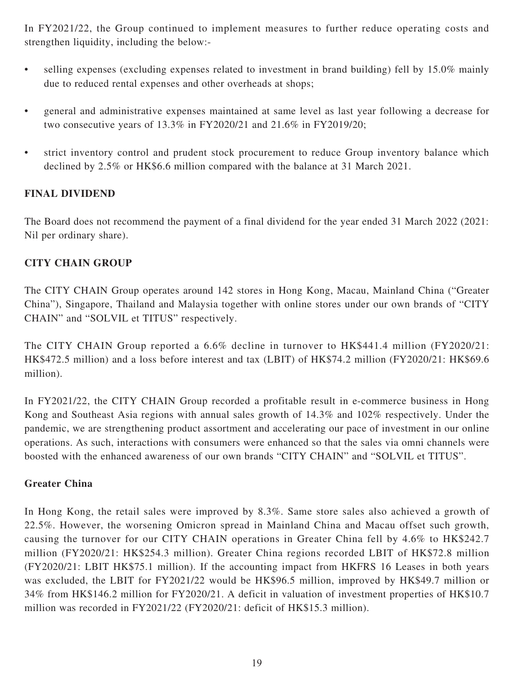In FY2021/22, the Group continued to implement measures to further reduce operating costs and strengthen liquidity, including the below:-

- selling expenses (excluding expenses related to investment in brand building) fell by 15.0% mainly due to reduced rental expenses and other overheads at shops;
- general and administrative expenses maintained at same level as last year following a decrease for two consecutive years of 13.3% in FY2020/21 and 21.6% in FY2019/20;
- strict inventory control and prudent stock procurement to reduce Group inventory balance which declined by 2.5% or HK\$6.6 million compared with the balance at 31 March 2021.

## **FINAL DIVIDEND**

The Board does not recommend the payment of a final dividend for the year ended 31 March 2022 (2021: Nil per ordinary share).

## **CITY CHAIN GROUP**

The CITY CHAIN Group operates around 142 stores in Hong Kong, Macau, Mainland China ("Greater China"), Singapore, Thailand and Malaysia together with online stores under our own brands of "CITY CHAIN" and "SOLVIL et TITUS" respectively.

The CITY CHAIN Group reported a 6.6% decline in turnover to HK\$441.4 million (FY2020/21: HK\$472.5 million) and a loss before interest and tax (LBIT) of HK\$74.2 million (FY2020/21: HK\$69.6 million).

In FY2021/22, the CITY CHAIN Group recorded a profitable result in e-commerce business in Hong Kong and Southeast Asia regions with annual sales growth of 14.3% and 102% respectively. Under the pandemic, we are strengthening product assortment and accelerating our pace of investment in our online operations. As such, interactions with consumers were enhanced so that the sales via omni channels were boosted with the enhanced awareness of our own brands "CITY CHAIN" and "SOLVIL et TITUS".

## **Greater China**

In Hong Kong, the retail sales were improved by 8.3%. Same store sales also achieved a growth of 22.5%. However, the worsening Omicron spread in Mainland China and Macau offset such growth, causing the turnover for our CITY CHAIN operations in Greater China fell by 4.6% to HK\$242.7 million (FY2020/21: HK\$254.3 million). Greater China regions recorded LBIT of HK\$72.8 million (FY2020/21: LBIT HK\$75.1 million). If the accounting impact from HKFRS 16 Leases in both years was excluded, the LBIT for FY2021/22 would be HK\$96.5 million, improved by HK\$49.7 million or 34% from HK\$146.2 million for FY2020/21. A deficit in valuation of investment properties of HK\$10.7 million was recorded in FY2021/22 (FY2020/21: deficit of HK\$15.3 million).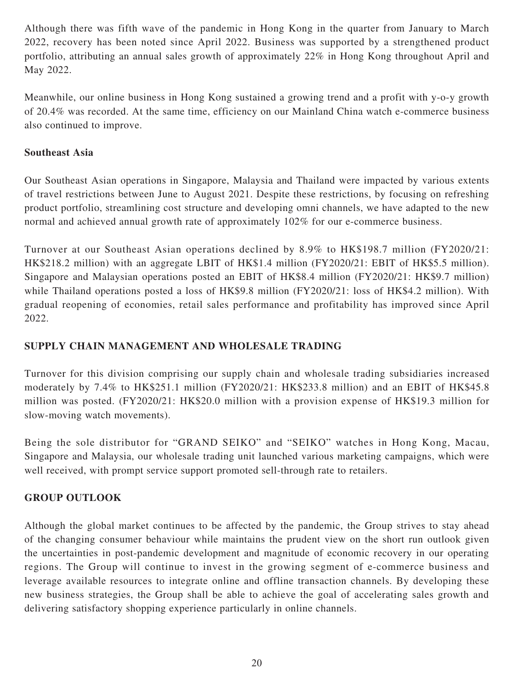Although there was fifth wave of the pandemic in Hong Kong in the quarter from January to March 2022, recovery has been noted since April 2022. Business was supported by a strengthened product portfolio, attributing an annual sales growth of approximately 22% in Hong Kong throughout April and May 2022.

Meanwhile, our online business in Hong Kong sustained a growing trend and a profit with y-o-y growth of 20.4% was recorded. At the same time, efficiency on our Mainland China watch e-commerce business also continued to improve.

## **Southeast Asia**

Our Southeast Asian operations in Singapore, Malaysia and Thailand were impacted by various extents of travel restrictions between June to August 2021. Despite these restrictions, by focusing on refreshing product portfolio, streamlining cost structure and developing omni channels, we have adapted to the new normal and achieved annual growth rate of approximately 102% for our e-commerce business.

Turnover at our Southeast Asian operations declined by 8.9% to HK\$198.7 million (FY2020/21: HK\$218.2 million) with an aggregate LBIT of HK\$1.4 million (FY2020/21: EBIT of HK\$5.5 million). Singapore and Malaysian operations posted an EBIT of HK\$8.4 million (FY2020/21: HK\$9.7 million) while Thailand operations posted a loss of HK\$9.8 million (FY2020/21: loss of HK\$4.2 million). With gradual reopening of economies, retail sales performance and profitability has improved since April 2022.

# **SUPPLY CHAIN MANAGEMENT AND WHOLESALE TRADING**

Turnover for this division comprising our supply chain and wholesale trading subsidiaries increased moderately by 7.4% to HK\$251.1 million (FY2020/21: HK\$233.8 million) and an EBIT of HK\$45.8 million was posted. (FY2020/21: HK\$20.0 million with a provision expense of HK\$19.3 million for slow-moving watch movements).

Being the sole distributor for "GRAND SEIKO" and "SEIKO" watches in Hong Kong, Macau, Singapore and Malaysia, our wholesale trading unit launched various marketing campaigns, which were well received, with prompt service support promoted sell-through rate to retailers.

## **GROUP OUTLOOK**

Although the global market continues to be affected by the pandemic, the Group strives to stay ahead of the changing consumer behaviour while maintains the prudent view on the short run outlook given the uncertainties in post-pandemic development and magnitude of economic recovery in our operating regions. The Group will continue to invest in the growing segment of e-commerce business and leverage available resources to integrate online and offline transaction channels. By developing these new business strategies, the Group shall be able to achieve the goal of accelerating sales growth and delivering satisfactory shopping experience particularly in online channels.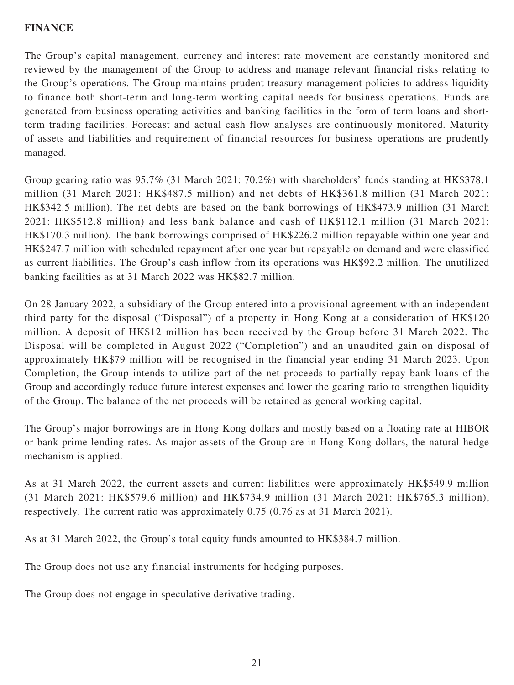## **FINANCE**

The Group's capital management, currency and interest rate movement are constantly monitored and reviewed by the management of the Group to address and manage relevant financial risks relating to the Group's operations. The Group maintains prudent treasury management policies to address liquidity to finance both short-term and long-term working capital needs for business operations. Funds are generated from business operating activities and banking facilities in the form of term loans and shortterm trading facilities. Forecast and actual cash flow analyses are continuously monitored. Maturity of assets and liabilities and requirement of financial resources for business operations are prudently managed.

Group gearing ratio was 95.7% (31 March 2021: 70.2%) with shareholders' funds standing at HK\$378.1 million (31 March 2021: HK\$487.5 million) and net debts of HK\$361.8 million (31 March 2021: HK\$342.5 million). The net debts are based on the bank borrowings of HK\$473.9 million (31 March 2021: HK\$512.8 million) and less bank balance and cash of HK\$112.1 million (31 March 2021: HK\$170.3 million). The bank borrowings comprised of HK\$226.2 million repayable within one year and HK\$247.7 million with scheduled repayment after one year but repayable on demand and were classified as current liabilities. The Group's cash inflow from its operations was HK\$92.2 million. The unutilized banking facilities as at 31 March 2022 was HK\$82.7 million.

On 28 January 2022, a subsidiary of the Group entered into a provisional agreement with an independent third party for the disposal ("Disposal") of a property in Hong Kong at a consideration of HK\$120 million. A deposit of HK\$12 million has been received by the Group before 31 March 2022. The Disposal will be completed in August 2022 ("Completion") and an unaudited gain on disposal of approximately HK\$79 million will be recognised in the financial year ending 31 March 2023. Upon Completion, the Group intends to utilize part of the net proceeds to partially repay bank loans of the Group and accordingly reduce future interest expenses and lower the gearing ratio to strengthen liquidity of the Group. The balance of the net proceeds will be retained as general working capital.

The Group's major borrowings are in Hong Kong dollars and mostly based on a floating rate at HIBOR or bank prime lending rates. As major assets of the Group are in Hong Kong dollars, the natural hedge mechanism is applied.

As at 31 March 2022, the current assets and current liabilities were approximately HK\$549.9 million (31 March 2021: HK\$579.6 million) and HK\$734.9 million (31 March 2021: HK\$765.3 million), respectively. The current ratio was approximately 0.75 (0.76 as at 31 March 2021).

As at 31 March 2022, the Group's total equity funds amounted to HK\$384.7 million.

The Group does not use any financial instruments for hedging purposes.

The Group does not engage in speculative derivative trading.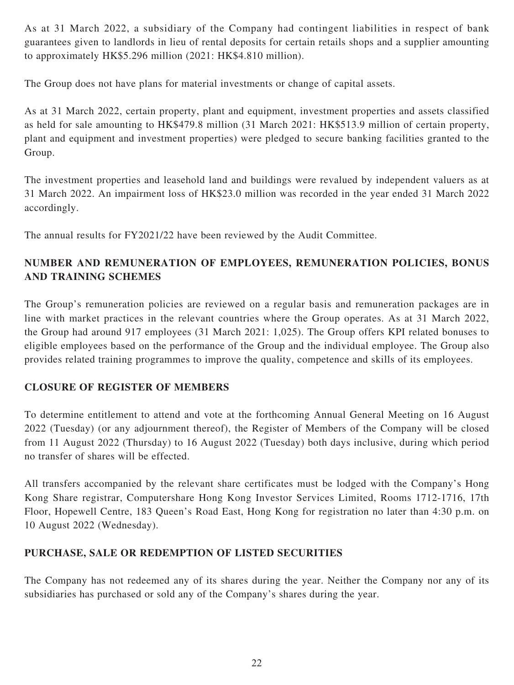As at 31 March 2022, a subsidiary of the Company had contingent liabilities in respect of bank guarantees given to landlords in lieu of rental deposits for certain retails shops and a supplier amounting to approximately HK\$5.296 million (2021: HK\$4.810 million).

The Group does not have plans for material investments or change of capital assets.

As at 31 March 2022, certain property, plant and equipment, investment properties and assets classified as held for sale amounting to HK\$479.8 million (31 March 2021: HK\$513.9 million of certain property, plant and equipment and investment properties) were pledged to secure banking facilities granted to the Group.

The investment properties and leasehold land and buildings were revalued by independent valuers as at 31 March 2022. An impairment loss of HK\$23.0 million was recorded in the year ended 31 March 2022 accordingly.

The annual results for FY2021/22 have been reviewed by the Audit Committee.

# **NUMBER AND REMUNERATION OF EMPLOYEES, REMUNERATION POLICIES, BONUS AND TRAINING SCHEMES**

The Group's remuneration policies are reviewed on a regular basis and remuneration packages are in line with market practices in the relevant countries where the Group operates. As at 31 March 2022, the Group had around 917 employees (31 March 2021: 1,025). The Group offers KPI related bonuses to eligible employees based on the performance of the Group and the individual employee. The Group also provides related training programmes to improve the quality, competence and skills of its employees.

# **CLOSURE OF REGISTER OF MEMBERS**

To determine entitlement to attend and vote at the forthcoming Annual General Meeting on 16 August 2022 (Tuesday) (or any adjournment thereof), the Register of Members of the Company will be closed from 11 August 2022 (Thursday) to 16 August 2022 (Tuesday) both days inclusive, during which period no transfer of shares will be effected.

All transfers accompanied by the relevant share certificates must be lodged with the Company's Hong Kong Share registrar, Computershare Hong Kong Investor Services Limited, Rooms 1712-1716, 17th Floor, Hopewell Centre, 183 Queen's Road East, Hong Kong for registration no later than 4:30 p.m. on 10 August 2022 (Wednesday).

# **PURCHASE, SALE OR REDEMPTION OF LISTED SECURITIES**

The Company has not redeemed any of its shares during the year. Neither the Company nor any of its subsidiaries has purchased or sold any of the Company's shares during the year.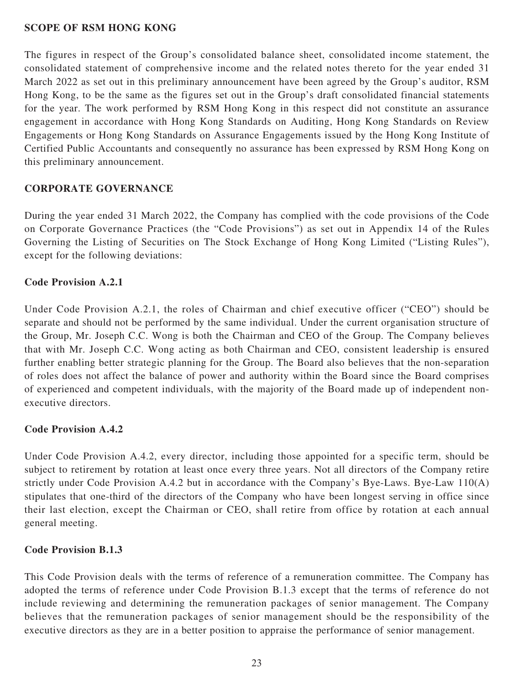### **SCOPE OF RSM HONG KONG**

The figures in respect of the Group's consolidated balance sheet, consolidated income statement, the consolidated statement of comprehensive income and the related notes thereto for the year ended 31 March 2022 as set out in this preliminary announcement have been agreed by the Group's auditor, RSM Hong Kong, to be the same as the figures set out in the Group's draft consolidated financial statements for the year. The work performed by RSM Hong Kong in this respect did not constitute an assurance engagement in accordance with Hong Kong Standards on Auditing, Hong Kong Standards on Review Engagements or Hong Kong Standards on Assurance Engagements issued by the Hong Kong Institute of Certified Public Accountants and consequently no assurance has been expressed by RSM Hong Kong on this preliminary announcement.

## **CORPORATE GOVERNANCE**

During the year ended 31 March 2022, the Company has complied with the code provisions of the Code on Corporate Governance Practices (the "Code Provisions") as set out in Appendix 14 of the Rules Governing the Listing of Securities on The Stock Exchange of Hong Kong Limited ("Listing Rules"), except for the following deviations:

## **Code Provision A.2.1**

Under Code Provision A.2.1, the roles of Chairman and chief executive officer ("CEO") should be separate and should not be performed by the same individual. Under the current organisation structure of the Group, Mr. Joseph C.C. Wong is both the Chairman and CEO of the Group. The Company believes that with Mr. Joseph C.C. Wong acting as both Chairman and CEO, consistent leadership is ensured further enabling better strategic planning for the Group. The Board also believes that the non-separation of roles does not affect the balance of power and authority within the Board since the Board comprises of experienced and competent individuals, with the majority of the Board made up of independent nonexecutive directors.

## **Code Provision A.4.2**

Under Code Provision A.4.2, every director, including those appointed for a specific term, should be subject to retirement by rotation at least once every three years. Not all directors of the Company retire strictly under Code Provision A.4.2 but in accordance with the Company's Bye-Laws. Bye-Law 110(A) stipulates that one-third of the directors of the Company who have been longest serving in office since their last election, except the Chairman or CEO, shall retire from office by rotation at each annual general meeting.

### **Code Provision B.1.3**

This Code Provision deals with the terms of reference of a remuneration committee. The Company has adopted the terms of reference under Code Provision B.1.3 except that the terms of reference do not include reviewing and determining the remuneration packages of senior management. The Company believes that the remuneration packages of senior management should be the responsibility of the executive directors as they are in a better position to appraise the performance of senior management.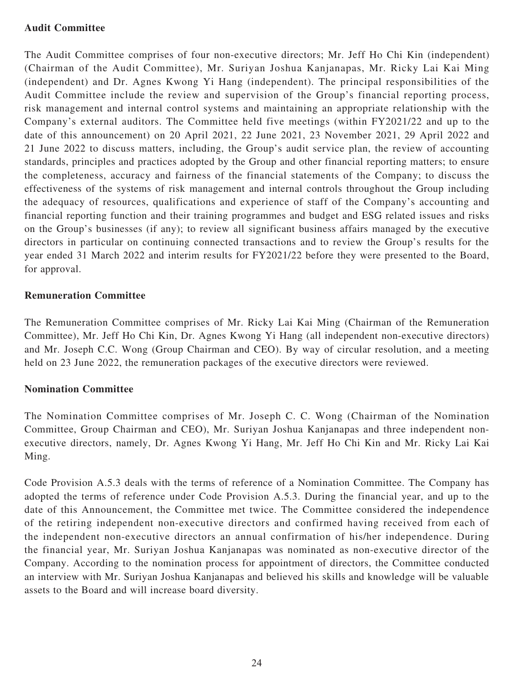## **Audit Committee**

The Audit Committee comprises of four non-executive directors; Mr. Jeff Ho Chi Kin (independent) (Chairman of the Audit Committee), Mr. Suriyan Joshua Kanjanapas, Mr. Ricky Lai Kai Ming (independent) and Dr. Agnes Kwong Yi Hang (independent). The principal responsibilities of the Audit Committee include the review and supervision of the Group's financial reporting process, risk management and internal control systems and maintaining an appropriate relationship with the Company's external auditors. The Committee held five meetings (within FY2021/22 and up to the date of this announcement) on 20 April 2021, 22 June 2021, 23 November 2021, 29 April 2022 and 21 June 2022 to discuss matters, including, the Group's audit service plan, the review of accounting standards, principles and practices adopted by the Group and other financial reporting matters; to ensure the completeness, accuracy and fairness of the financial statements of the Company; to discuss the effectiveness of the systems of risk management and internal controls throughout the Group including the adequacy of resources, qualifications and experience of staff of the Company's accounting and financial reporting function and their training programmes and budget and ESG related issues and risks on the Group's businesses (if any); to review all significant business affairs managed by the executive directors in particular on continuing connected transactions and to review the Group's results for the year ended 31 March 2022 and interim results for FY2021/22 before they were presented to the Board, for approval.

## **Remuneration Committee**

The Remuneration Committee comprises of Mr. Ricky Lai Kai Ming (Chairman of the Remuneration Committee), Mr. Jeff Ho Chi Kin, Dr. Agnes Kwong Yi Hang (all independent non-executive directors) and Mr. Joseph C.C. Wong (Group Chairman and CEO). By way of circular resolution, and a meeting held on 23 June 2022, the remuneration packages of the executive directors were reviewed.

### **Nomination Committee**

The Nomination Committee comprises of Mr. Joseph C. C. Wong (Chairman of the Nomination Committee, Group Chairman and CEO), Mr. Suriyan Joshua Kanjanapas and three independent nonexecutive directors, namely, Dr. Agnes Kwong Yi Hang, Mr. Jeff Ho Chi Kin and Mr. Ricky Lai Kai Ming.

Code Provision A.5.3 deals with the terms of reference of a Nomination Committee. The Company has adopted the terms of reference under Code Provision A.5.3. During the financial year, and up to the date of this Announcement, the Committee met twice. The Committee considered the independence of the retiring independent non-executive directors and confirmed having received from each of the independent non-executive directors an annual confirmation of his/her independence. During the financial year, Mr. Suriyan Joshua Kanjanapas was nominated as non-executive director of the Company. According to the nomination process for appointment of directors, the Committee conducted an interview with Mr. Suriyan Joshua Kanjanapas and believed his skills and knowledge will be valuable assets to the Board and will increase board diversity.